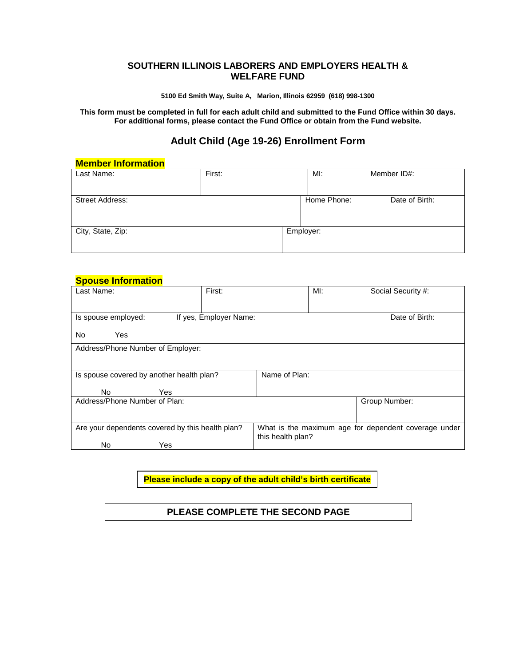## **SOUTHERN ILLINOIS LABORERS AND EMPLOYERS HEALTH & WELFARE FUND**

**5100 Ed Smith Way, Suite A, Marion, Illinois 62959 (618) 998-1300**

**This form must be completed in full for each adult child and submitted to the Fund Office within 30 days. For additional forms, please contact the Fund Office or obtain from the Fund website.**

# **Adult Child (Age 19-26) Enrollment Form**

#### **Member Information**

| Last Name:             | First: | MI:         | Member ID#:    |
|------------------------|--------|-------------|----------------|
| <b>Street Address:</b> |        | Home Phone: | Date of Birth: |
| City, State, Zip:      |        | Employer:   |                |

### **Spouse Information**

| Last Name:                                       | First:                 |                                                                           | $M!$ : | Social Security #: |
|--------------------------------------------------|------------------------|---------------------------------------------------------------------------|--------|--------------------|
| Is spouse employed:                              | If yes, Employer Name: |                                                                           |        | Date of Birth:     |
| No.<br>Yes                                       |                        |                                                                           |        |                    |
| Address/Phone Number of Employer:                |                        |                                                                           |        |                    |
|                                                  |                        |                                                                           |        |                    |
| Is spouse covered by another health plan?        |                        | Name of Plan:                                                             |        |                    |
| No.<br>Yes                                       |                        |                                                                           |        |                    |
| Address/Phone Number of Plan:                    |                        |                                                                           |        | Group Number:      |
|                                                  |                        |                                                                           |        |                    |
| Are your dependents covered by this health plan? |                        | What is the maximum age for dependent coverage under<br>this health plan? |        |                    |
| No<br>Yes                                        |                        |                                                                           |        |                    |

**Please include a copy of the adult child's birth certificate**

## **PLEASE COMPLETE THE SECOND PAGE**